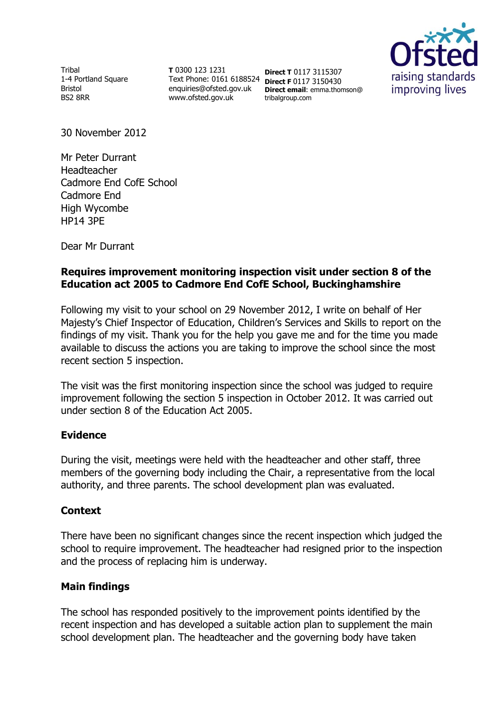Tribal 1-4 Portland Square Bristol BS2 8RR

**T** 0300 123 1231 Text Phone: 0161 6188524 **Direct F** 0117 3150430 enquiries@ofsted.gov.uk www.ofsted.gov.uk

**Direct T** 0117 3115307 **Direct email**: emma.thomson@ tribalgroup.com



30 November 2012

Mr Peter Durrant Headteacher Cadmore End CofE School Cadmore End High Wycombe HP14 3PE

Dear Mr Durrant

# **Requires improvement monitoring inspection visit under section 8 of the Education act 2005 to Cadmore End CofE School, Buckinghamshire**

Following my visit to your school on 29 November 2012, I write on behalf of Her Majesty's Chief Inspector of Education, Children's Services and Skills to report on the findings of my visit. Thank you for the help you gave me and for the time you made available to discuss the actions you are taking to improve the school since the most recent section 5 inspection.

The visit was the first monitoring inspection since the school was judged to require improvement following the section 5 inspection in October 2012. It was carried out under section 8 of the Education Act 2005.

## **Evidence**

During the visit, meetings were held with the headteacher and other staff, three members of the governing body including the Chair, a representative from the local authority, and three parents. The school development plan was evaluated.

## **Context**

There have been no significant changes since the recent inspection which judged the school to require improvement. The headteacher had resigned prior to the inspection and the process of replacing him is underway.

## **Main findings**

The school has responded positively to the improvement points identified by the recent inspection and has developed a suitable action plan to supplement the main school development plan. The headteacher and the governing body have taken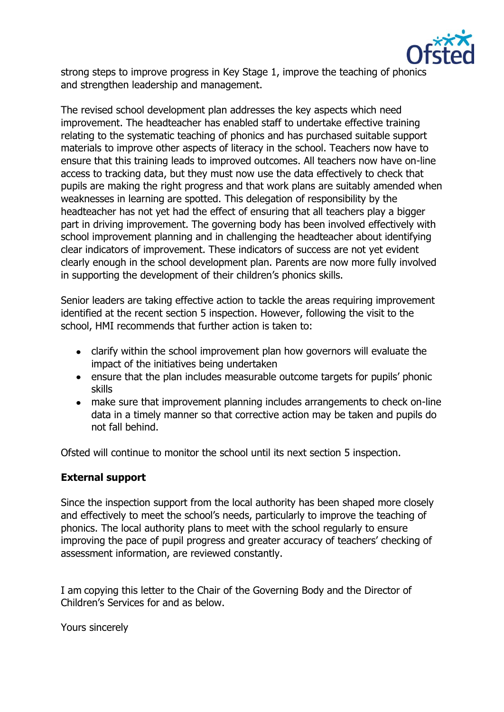

strong steps to improve progress in Key Stage 1, improve the teaching of phonics and strengthen leadership and management.

The revised school development plan addresses the key aspects which need improvement. The headteacher has enabled staff to undertake effective training relating to the systematic teaching of phonics and has purchased suitable support materials to improve other aspects of literacy in the school. Teachers now have to ensure that this training leads to improved outcomes. All teachers now have on-line access to tracking data, but they must now use the data effectively to check that pupils are making the right progress and that work plans are suitably amended when weaknesses in learning are spotted. This delegation of responsibility by the headteacher has not yet had the effect of ensuring that all teachers play a bigger part in driving improvement. The governing body has been involved effectively with school improvement planning and in challenging the headteacher about identifying clear indicators of improvement. These indicators of success are not yet evident clearly enough in the school development plan. Parents are now more fully involved in supporting the development of their children's phonics skills.

Senior leaders are taking effective action to tackle the areas requiring improvement identified at the recent section 5 inspection. However, following the visit to the school, HMI recommends that further action is taken to:

- clarify within the school improvement plan how governors will evaluate the impact of the initiatives being undertaken
- ensure that the plan includes measurable outcome targets for pupils' phonic skills
- make sure that improvement planning includes arrangements to check on-line data in a timely manner so that corrective action may be taken and pupils do not fall behind.

Ofsted will continue to monitor the school until its next section 5 inspection.

### **External support**

Since the inspection support from the local authority has been shaped more closely and effectively to meet the school's needs, particularly to improve the teaching of phonics. The local authority plans to meet with the school regularly to ensure improving the pace of pupil progress and greater accuracy of teachers' checking of assessment information, are reviewed constantly.

I am copying this letter to the Chair of the Governing Body and the Director of Children's Services for and as below.

Yours sincerely